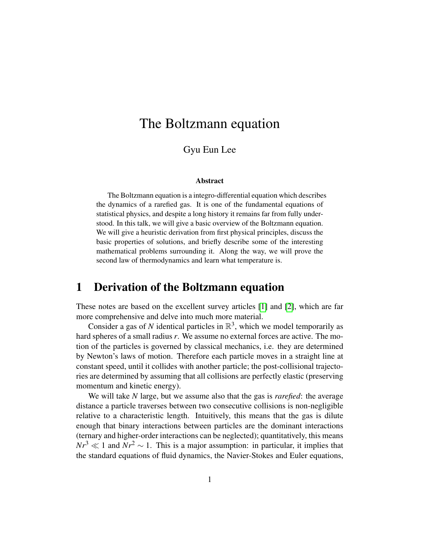# The Boltzmann equation

### Gyu Eun Lee

#### Abstract

The Boltzmann equation is a integro-differential equation which describes the dynamics of a rarefied gas. It is one of the fundamental equations of statistical physics, and despite a long history it remains far from fully understood. In this talk, we will give a basic overview of the Boltzmann equation. We will give a heuristic derivation from first physical principles, discuss the basic properties of solutions, and briefly describe some of the interesting mathematical problems surrounding it. Along the way, we will prove the second law of thermodynamics and learn what temperature is.

### 1 Derivation of the Boltzmann equation

These notes are based on the excellent survey articles [\[1\]](#page-13-0) and [\[2\]](#page-13-1), which are far more comprehensive and delve into much more material.

Consider a gas of N identical particles in  $\mathbb{R}^3$ , which we model temporarily as hard spheres of a small radius *r*. We assume no external forces are active. The motion of the particles is governed by classical mechanics, i.e. they are determined by Newton's laws of motion. Therefore each particle moves in a straight line at constant speed, until it collides with another particle; the post-collisional trajectories are determined by assuming that all collisions are perfectly elastic (preserving momentum and kinetic energy).

We will take *N* large, but we assume also that the gas is *rarefied*: the average distance a particle traverses between two consecutive collisions is non-negligible relative to a characteristic length. Intuitively, this means that the gas is dilute enough that binary interactions between particles are the dominant interactions (ternary and higher-order interactions can be neglected); quantitatively, this means  $Nr^3 \ll 1$  and  $Nr^2 \sim 1$ . This is a major assumption: in particular, it implies that the standard equations of fluid dynamics, the Navier-Stokes and Euler equations,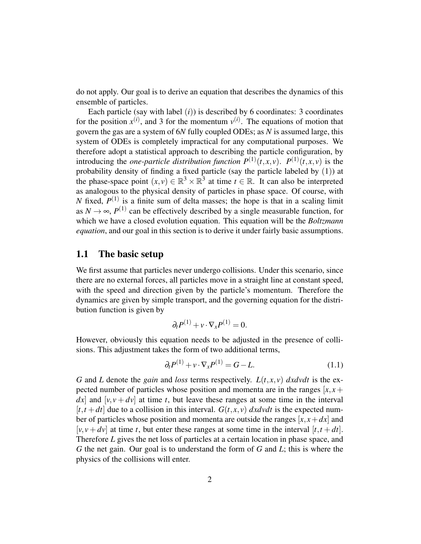do not apply. Our goal is to derive an equation that describes the dynamics of this ensemble of particles.

Each particle (say with label  $(i)$ ) is described by 6 coordinates: 3 coordinates for the position  $x^{(i)}$ , and 3 for the momentum  $v^{(i)}$ . The equations of motion that govern the gas are a system of 6*N* fully coupled ODEs; as *N* is assumed large, this system of ODEs is completely impractical for any computational purposes. We therefore adopt a statistical approach to describing the particle configuration, by introducing the *one-particle distribution function*  $P^{(1)}(t, x, v)$ .  $P^{(1)}(t, x, v)$  is the probability density of finding a fixed particle (say the particle labeled by (1)) at the phase-space point  $(x, y) \in \mathbb{R}^3 \times \mathbb{R}^3$  at time  $t \in \mathbb{R}$ . It can also be interpreted as analogous to the physical density of particles in phase space. Of course, with *N* fixed,  $P^{(1)}$  is a finite sum of delta masses; the hope is that in a scaling limit as  $N \to \infty$ ,  $P^{(1)}$  can be effectively described by a single measurable function, for which we have a closed evolution equation. This equation will be the *Boltzmann equation*, and our goal in this section is to derive it under fairly basic assumptions.

### 1.1 The basic setup

We first assume that particles never undergo collisions. Under this scenario, since there are no external forces, all particles move in a straight line at constant speed, with the speed and direction given by the particle's momentum. Therefore the dynamics are given by simple transport, and the governing equation for the distribution function is given by

$$
\partial_t P^{(1)} + v \cdot \nabla_x P^{(1)} = 0.
$$

However, obviously this equation needs to be adjusted in the presence of collisions. This adjustment takes the form of two additional terms,

$$
\partial_t P^{(1)} + v \cdot \nabla_x P^{(1)} = G - L. \tag{1.1}
$$

*G* and *L* denote the *gain* and *loss* terms respectively.  $L(t, x, y)$  *dxdvdt* is the expected number of particles whose position and momenta are in the ranges  $[x, x]$  $dx$  and  $[v, v + dv]$  at time *t*, but leave these ranges at some time in the interval  $[t, t+dt]$  due to a collision in this interval.  $G(t, x, y)$  *dxdvdt* is the expected number of particles whose position and momenta are outside the ranges  $[x, x + dx]$  and  $[v, v + dv]$  at time *t*, but enter these ranges at some time in the interval  $[t, t + dt]$ . Therefore *L* gives the net loss of particles at a certain location in phase space, and *G* the net gain. Our goal is to understand the form of *G* and *L*; this is where the physics of the collisions will enter.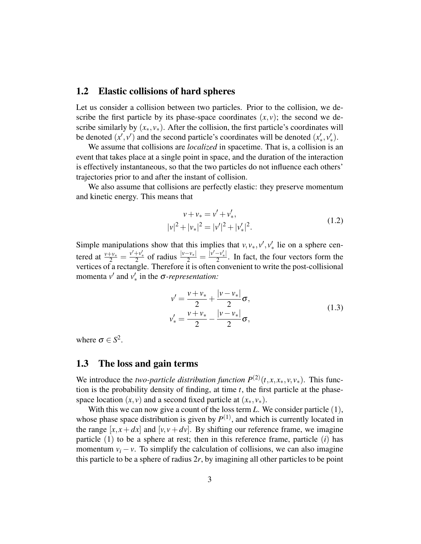#### 1.2 Elastic collisions of hard spheres

Let us consider a collision between two particles. Prior to the collision, we describe the first particle by its phase-space coordinates  $(x, y)$ ; the second we describe similarly by  $(x_*, y_*)$ . After the collision, the first particle's coordinates will be denoted  $(x', v')$  and the second particle's coordinates will be denoted  $(x'_*, v'_*)$ .

We assume that collisions are *localized* in spacetime. That is, a collision is an event that takes place at a single point in space, and the duration of the interaction is effectively instantaneous, so that the two particles do not influence each others' trajectories prior to and after the instant of collision.

We also assume that collisions are perfectly elastic: they preserve momentum and kinetic energy. This means that

$$
v + v_* = v' + v'_*,
$$
  

$$
|v|^2 + |v_*|^2 = |v'|^2 + |v'_*|^2.
$$
 (1.2)

Simple manipulations show that this implies that  $v, v_*, v', v'_*$  lie on a sphere centered at  $\frac{v+v_*}{2} = \frac{v'+v'_*}{2}$  of radius  $\frac{|v-v_*|}{2} = \frac{v'-v'_*}{2}$  $\frac{-v_{*}}{2}$ . In fact, the four vectors form the vertices of a rectangle. Therefore it is often convenient to write the post-collisional momenta  $v'$  and  $v'_*$  in the  $\sigma$ -*representation*:

$$
v' = \frac{v + v_*}{2} + \frac{|v - v_*|}{2} \sigma,
$$
  

$$
v'_* = \frac{v + v_*}{2} - \frac{|v - v_*|}{2} \sigma,
$$
 (1.3)

where  $\sigma \in S^2$ .

### 1.3 The loss and gain terms

We introduce the *two-particle distribution function*  $P^{(2)}(t, x, x_*, v, v_*)$ . This function is the probability density of finding, at time *t*, the first particle at the phasespace location  $(x, y)$  and a second fixed particle at  $(x_*, y_*)$ .

With this we can now give a count of the loss term *L*. We consider particle (1), whose phase space distribution is given by  $P^{(1)}$ , and which is currently located in the range  $[x, x + dx]$  and  $[y, y + dy]$ . By shifting our reference frame, we imagine particle (1) to be a sphere at rest; then in this reference frame, particle (*i*) has momentum  $v_i - v$ . To simplify the calculation of collisions, we can also imagine this particle to be a sphere of radius 2*r*, by imagining all other particles to be point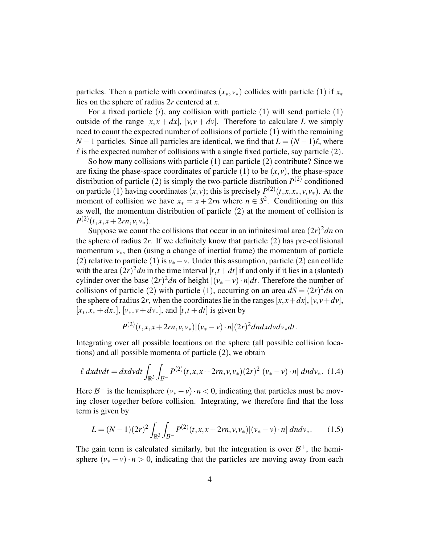particles. Then a particle with coordinates  $(x_*, y_*)$  collides with particle (1) if  $x_*$ lies on the sphere of radius 2*r* centered at *x*.

For a fixed particle (*i*), any collision with particle (1) will send particle (1) outside of the range  $[x, x + dx]$ ,  $[v, v + dv]$ . Therefore to calculate *L* we simply need to count the expected number of collisions of particle (1) with the remaining *N* − 1 particles. Since all particles are identical, we find that  $L = (N-1)\ell$ , where  $\ell$  is the expected number of collisions with a single fixed particle, say particle (2).

So how many collisions with particle (1) can particle (2) contribute? Since we are fixing the phase-space coordinates of particle  $(1)$  to be  $(x, y)$ , the phase-space distribution of particle (2) is simply the two-particle distribution  $P^{(2)}$  conditioned on particle (1) having coordinates  $(x, v)$ ; this is precisely  $P^{(2)}(t, x, x_*, v, v_*)$ . At the moment of collision we have  $x_* = x + 2rn$  where  $n \in S^2$ . Conditioning on this as well, the momentum distribution of particle (2) at the moment of collision is  $P^{(2)}(t, x, x+2rn, v, v_*)$ .

Suppose we count the collisions that occur in an infinitesimal area  $(2r)^2$ *dn* on the sphere of radius  $2r$ . If we definitely know that particle  $(2)$  has pre-collisional momentum  $v_{*}$ , then (using a change of inertial frame) the momentum of particle (2) relative to particle (1) is  $v_* - v$ . Under this assumption, particle (2) can collide with the area  $(2r)^2$ *dn* in the time interval  $[t, t+dt]$  if and only if it lies in a (slanted) cylinder over the base  $(2r)^2$ *dn* of height  $|(v_* - v) \cdot n|$ *dt*. Therefore the number of collisions of particle (2) with particle (1), occurring on an area  $dS = (2r)^2 dn$  on the sphere of radius 2*r*, when the coordinates lie in the ranges  $[x, x+dx]$ ,  $[v, v+dv]$ ,  $[x_*, x_* + dx_*]$ ,  $[v_*, v + dv_*]$ , and  $[t, t + dt]$  is given by

$$
P^{(2)}(t, x, x+2rn, v, v_*)|(v_*-v)\cdot n|(2r)^2dndxdvdv_*dt.
$$

Integrating over all possible locations on the sphere (all possible collision locations) and all possible momenta of particle (2), we obtain

$$
\ell \, dxdvdt = dxdvdt \int_{\mathbb{R}^3} \int_{\mathcal{B}^-} P^{(2)}(t, x, x + 2rn, v, v_*)(2r)^2 |(v_* - v) \cdot n| \, dndv_*. \tag{1.4}
$$

Here  $B^-$  is the hemisphere  $(v_* - v) \cdot n < 0$ , indicating that particles must be moving closer together before collision. Integrating, we therefore find that the loss term is given by

$$
L = (N-1)(2r)^2 \int_{\mathbb{R}^3} \int_{\mathcal{B}^-} P^{(2)}(t, x, x + 2rn, v, v_*) |(v_* - v) \cdot n| \, dndv_*.
$$
 (1.5)

The gain term is calculated similarly, but the integration is over  $\mathcal{B}^+$ , the hemisphere  $(v_* - v) \cdot n > 0$ , indicating that the particles are moving away from each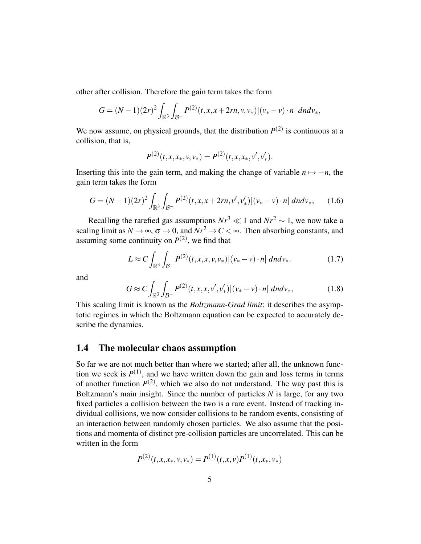other after collision. Therefore the gain term takes the form

$$
G = (N-1)(2r)^2 \int_{\mathbb{R}^3} \int_{\mathcal{B}^+} P^{(2)}(t, x, x + 2rn, v, v_*) |(v_* - v) \cdot n| \, dndv_*,
$$

We now assume, on physical grounds, that the distribution  $P^{(2)}$  is continuous at a collision, that is,

$$
P^{(2)}(t, x, x_*, v, v_*) = P^{(2)}(t, x, x_*, v', v'_*).
$$

Inserting this into the gain term, and making the change of variable  $n \mapsto -n$ , the gain term takes the form

$$
G = (N-1)(2r)^2 \int_{\mathbb{R}^3} \int_{\mathcal{B}^-} P^{(2)}(t, x, x + 2rn, v', v'_*) |(v_* - v) \cdot n| \, dndv_*, \qquad (1.6)
$$

Recalling the rarefied gas assumptions  $Nr^3 \ll 1$  and  $Nr^2 \sim 1$ , we now take a scaling limit as  $N \to \infty$ ,  $\sigma \to 0$ , and  $\overline{Nr^2} \to C < \infty$ . Then absorbing constants, and assuming some continuity on  $P^{(2)}$ , we find that

$$
L \approx C \int_{\mathbb{R}^3} \int_{\mathcal{B}^-} P^{(2)}(t, x, x, v, v_*) |(v_* - v) \cdot n| \, dndv_*.
$$
 (1.7)

and

$$
G \approx C \int_{\mathbb{R}^3} \int_{\mathcal{B}^-} P^{(2)}(t, x, x, v', v'_*) |(v_* - v) \cdot n| \, dndv_*,
$$
 (1.8)

This scaling limit is known as the *Boltzmann-Grad limit*; it describes the asymptotic regimes in which the Boltzmann equation can be expected to accurately describe the dynamics.

### 1.4 The molecular chaos assumption

So far we are not much better than where we started; after all, the unknown function we seek is  $P^{(1)}$ , and we have written down the gain and loss terms in terms of another function  $P^{(2)}$ , which we also do not understand. The way past this is Boltzmann's main insight. Since the number of particles *N* is large, for any two fixed particles a collision between the two is a rare event. Instead of tracking individual collisions, we now consider collisions to be random events, consisting of an interaction between randomly chosen particles. We also assume that the positions and momenta of distinct pre-collision particles are uncorrelated. This can be written in the form

$$
P^{(2)}(t, x, x_*, v, v_*) = P^{(1)}(t, x, v)P^{(1)}(t, x_*, v_*)
$$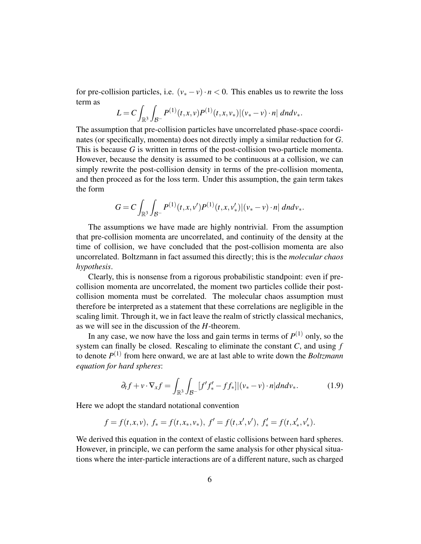for pre-collision particles, i.e.  $(v_* - v) \cdot n < 0$ . This enables us to rewrite the loss term as

$$
L = C \int_{\mathbb{R}^3} \int_{\mathcal{B}^-} P^{(1)}(t, x, v) P^{(1)}(t, x, v_*) |(v_* - v) \cdot n| \, dndv_*.
$$

The assumption that pre-collision particles have uncorrelated phase-space coordinates (or specifically, momenta) does not directly imply a similar reduction for *G*. This is because *G* is written in terms of the post-collision two-particle momenta. However, because the density is assumed to be continuous at a collision, we can simply rewrite the post-collision density in terms of the pre-collision momenta, and then proceed as for the loss term. Under this assumption, the gain term takes the form

$$
G=C\int_{\mathbb{R}^3}\int_{\mathcal{B}^-} P^{(1)}(t,x,v')P^{(1)}(t,x,v'_*)|(v_*-v)\cdot n| dndv_*.
$$

The assumptions we have made are highly nontrivial. From the assumption that pre-collision momenta are uncorrelated, and continuity of the density at the time of collision, we have concluded that the post-collision momenta are also uncorrelated. Boltzmann in fact assumed this directly; this is the *molecular chaos hypothesis*.

Clearly, this is nonsense from a rigorous probabilistic standpoint: even if precollision momenta are uncorrelated, the moment two particles collide their postcollision momenta must be correlated. The molecular chaos assumption must therefore be interpreted as a statement that these correlations are negligible in the scaling limit. Through it, we in fact leave the realm of strictly classical mechanics, as we will see in the discussion of the *H*-theorem.

In any case, we now have the loss and gain terms in terms of  $P^{(1)}$  only, so the system can finally be closed. Rescaling to eliminate the constant *C*, and using *f* to denote *P* (1) from here onward, we are at last able to write down the *Boltzmann equation for hard spheres*:

$$
\partial_t f + v \cdot \nabla_x f = \int_{\mathbb{R}^3} \int_{\mathcal{B}^-} [f' f'_* - f f_*] |(v_* - v) \cdot n| dndv_*.
$$
 (1.9)

Here we adopt the standard notational convention

$$
f = f(t, x, v), f_* = f(t, x_*, v_*), f' = f(t, x', v'), f'_* = f(t, x'_*, v'_*).
$$

We derived this equation in the context of elastic collisions between hard spheres. However, in principle, we can perform the same analysis for other physical situations where the inter-particle interactions are of a different nature, such as charged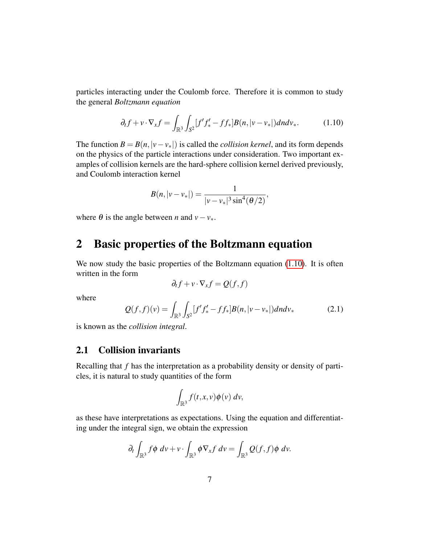particles interacting under the Coulomb force. Therefore it is common to study the general *Boltzmann equation*

<span id="page-6-0"></span>
$$
\partial_t f + v \cdot \nabla_x f = \int_{\mathbb{R}^3} \int_{S^2} [f' f'_* - f f_*] B(n, |v - v_*|) dndv_*.
$$
 (1.10)

The function  $B = B(n, |v - v_*|)$  is called the *collision kernel*, and its form depends on the physics of the particle interactions under consideration. Two important examples of collision kernels are the hard-sphere collision kernel derived previously, and Coulomb interaction kernel

$$
B(n,|v-v_*|) = \frac{1}{|v-v_*|^3 \sin^4(\theta/2)},
$$

where  $\theta$  is the angle between *n* and  $v - v_*$ .

# 2 Basic properties of the Boltzmann equation

We now study the basic properties of the Boltzmann equation [\(1.10\)](#page-6-0). It is often written in the form

$$
\partial_t f + v \cdot \nabla_x f = Q(f, f)
$$

where

$$
Q(f, f)(v) = \int_{\mathbb{R}^3} \int_{S^2} [f' f'_* - f f_*] B(n, |v - v_*|) dndv_* \tag{2.1}
$$

is known as the *collision integral*.

### 2.1 Collision invariants

Recalling that *f* has the interpretation as a probability density or density of particles, it is natural to study quantities of the form

$$
\int_{\mathbb{R}^3} f(t,x,v)\phi(v)\ dv,
$$

as these have interpretations as expectations. Using the equation and differentiating under the integral sign, we obtain the expression

$$
\partial_t \int_{\mathbb{R}^3} f \phi \, dv + v \cdot \int_{\mathbb{R}^3} \phi \nabla_x f \, dv = \int_{\mathbb{R}^3} Q(f, f) \phi \, dv.
$$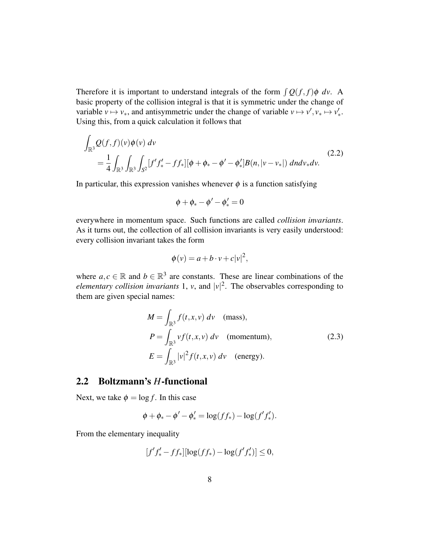Therefore it is important to understand integrals of the form  $\int Q(f, f) \phi \, dv$ . A basic property of the collision integral is that it is symmetric under the change of variable  $v \mapsto v_*,$  and antisymmetric under the change of variable  $v \mapsto v', v_* \mapsto v'_*.$ Using this, from a quick calculation it follows that

$$
\int_{\mathbb{R}^3} Q(f, f)(v) \phi(v) dv
$$
\n
$$
= \frac{1}{4} \int_{\mathbb{R}^3} \int_{\mathbb{R}^3} \int_{S^2} [f' f'_* - f f_*] [\phi + \phi_* - \phi' - \phi'_*] B(n, |v - v_*|) dndv_* dv.
$$
\n(2.2)

In particular, this expression vanishes whenever  $\phi$  is a function satisfying

$$
\phi+\phi_*-\phi'-\phi'_*=0
$$

everywhere in momentum space. Such functions are called *collision invariants*. As it turns out, the collection of all collision invariants is very easily understood: every collision invariant takes the form

$$
\phi(v) = a + b \cdot v + c|v|^2,
$$

where  $a, c \in \mathbb{R}$  and  $b \in \mathbb{R}^3$  are constants. These are linear combinations of the *elementary collision invariants* 1, *v*, and  $|v|^2$ . The observables corresponding to them are given special names:

$$
M = \int_{\mathbb{R}^3} f(t, x, v) dv \quad \text{(mass)},
$$
  
\n
$$
P = \int_{\mathbb{R}^3} v f(t, x, v) dv \quad \text{(momentum)},
$$
  
\n
$$
E = \int_{\mathbb{R}^3} |v|^2 f(t, x, v) dv \quad \text{(energy)}.
$$
\n(2.3)

### 2.2 Boltzmann's *H*-functional

Next, we take  $\phi = \log f$ . In this case

$$
\phi + \phi_* - \phi' - \phi'_* = \log(f f_*) - \log(f' f'_*).
$$

From the elementary inequality

$$
[f'f'_* - ff_*][\log(ff_*) - \log(f'f'_*)] \le 0,
$$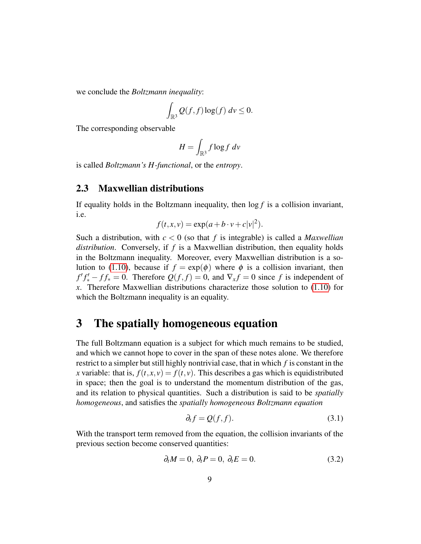we conclude the *Boltzmann inequality*:

$$
\int_{\mathbb{R}^3} Q(f,f) \log(f) \, dv \leq 0.
$$

The corresponding observable

$$
H = \int_{\mathbb{R}^3} f \log f \, dv
$$

is called *Boltzmann's H-functional*, or the *entropy*.

### 2.3 Maxwellian distributions

If equality holds in the Boltzmann inequality, then log *f* is a collision invariant, i.e.

$$
f(t, x, v) = \exp(a + b \cdot v + c|v|^2).
$$

Such a distribution, with *c* < 0 (so that *f* is integrable) is called a *Maxwellian distribution*. Conversely, if *f* is a Maxwellian distribution, then equality holds in the Boltzmann inequality. Moreover, every Maxwellian distribution is a so-lution to [\(1.10\)](#page-6-0), because if  $f = \exp(\phi)$  where  $\phi$  is a collision invariant, then  $f'f'_{*} - ff_{*} = 0$ . Therefore  $Q(f, f) = 0$ , and  $\nabla_{x} f = 0$  since *f* is independent of *x*. Therefore Maxwellian distributions characterize those solution to [\(1.10\)](#page-6-0) for which the Boltzmann inequality is an equality.

# 3 The spatially homogeneous equation

The full Boltzmann equation is a subject for which much remains to be studied, and which we cannot hope to cover in the span of these notes alone. We therefore restrict to a simpler but still highly nontrivial case, that in which *f* is constant in the *x* variable: that is,  $f(t, x, v) = f(t, v)$ . This describes a gas which is equidistributed in space; then the goal is to understand the momentum distribution of the gas, and its relation to physical quantities. Such a distribution is said to be *spatially homogeneous*, and satisfies the *spatially homogeneous Boltzmann equation*

$$
\partial_t f = Q(f, f). \tag{3.1}
$$

With the transport term removed from the equation, the collision invariants of the previous section become conserved quantities:

$$
\partial_t M = 0, \ \partial_t P = 0, \ \partial_t E = 0. \tag{3.2}
$$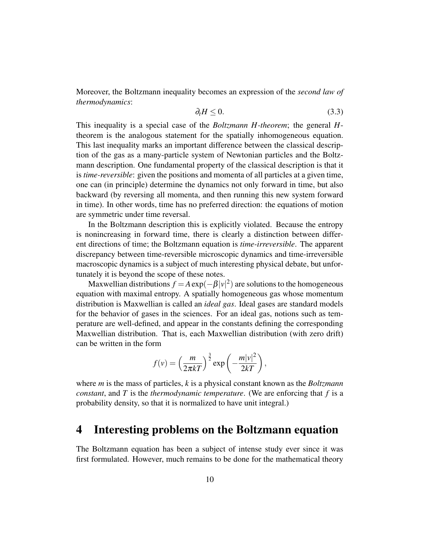Moreover, the Boltzmann inequality becomes an expression of the *second law of thermodynamics*:

$$
\partial_t H \le 0. \tag{3.3}
$$

This inequality is a special case of the *Boltzmann H-theorem*; the general *H*theorem is the analogous statement for the spatially inhomogeneous equation. This last inequality marks an important difference between the classical description of the gas as a many-particle system of Newtonian particles and the Boltzmann description. One fundamental property of the classical description is that it is *time-reversible*: given the positions and momenta of all particles at a given time, one can (in principle) determine the dynamics not only forward in time, but also backward (by reversing all momenta, and then running this new system forward in time). In other words, time has no preferred direction: the equations of motion are symmetric under time reversal.

In the Boltzmann description this is explicitly violated. Because the entropy is nonincreasing in forward time, there is clearly a distinction between different directions of time; the Boltzmann equation is *time-irreversible*. The apparent discrepancy between time-reversible microscopic dynamics and time-irreversible macroscopic dynamics is a subject of much interesting physical debate, but unfortunately it is beyond the scope of these notes.

Maxwellian distributions  $f = A \exp(-\beta |v|^2)$  are solutions to the homogeneous equation with maximal entropy. A spatially homogeneous gas whose momentum distribution is Maxwellian is called an *ideal gas*. Ideal gases are standard models for the behavior of gases in the sciences. For an ideal gas, notions such as temperature are well-defined, and appear in the constants defining the corresponding Maxwellian distribution. That is, each Maxwellian distribution (with zero drift) can be written in the form

$$
f(v) = \left(\frac{m}{2\pi kT}\right)^{\frac{3}{2}} \exp\left(-\frac{m|v|^2}{2kT}\right),\,
$$

where *m* is the mass of particles, *k* is a physical constant known as the *Boltzmann constant*, and *T* is the *thermodynamic temperature*. (We are enforcing that *f* is a probability density, so that it is normalized to have unit integral.)

# 4 Interesting problems on the Boltzmann equation

The Boltzmann equation has been a subject of intense study ever since it was first formulated. However, much remains to be done for the mathematical theory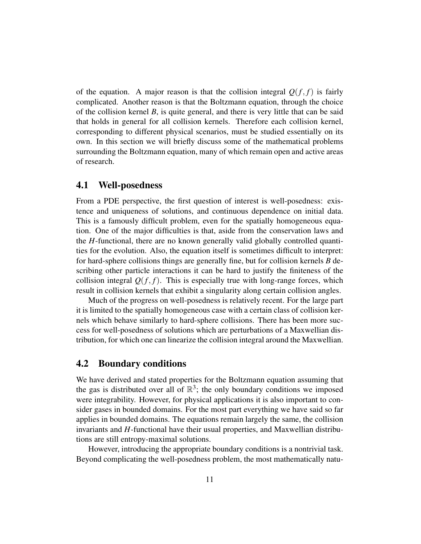of the equation. A major reason is that the collision integral  $Q(f, f)$  is fairly complicated. Another reason is that the Boltzmann equation, through the choice of the collision kernel *B*, is quite general, and there is very little that can be said that holds in general for all collision kernels. Therefore each collision kernel, corresponding to different physical scenarios, must be studied essentially on its own. In this section we will briefly discuss some of the mathematical problems surrounding the Boltzmann equation, many of which remain open and active areas of research.

### 4.1 Well-posedness

From a PDE perspective, the first question of interest is well-posedness: existence and uniqueness of solutions, and continuous dependence on initial data. This is a famously difficult problem, even for the spatially homogeneous equation. One of the major difficulties is that, aside from the conservation laws and the *H*-functional, there are no known generally valid globally controlled quantities for the evolution. Also, the equation itself is sometimes difficult to interpret: for hard-sphere collisions things are generally fine, but for collision kernels *B* describing other particle interactions it can be hard to justify the finiteness of the collision integral  $Q(f, f)$ . This is especially true with long-range forces, which result in collision kernels that exhibit a singularity along certain collision angles.

Much of the progress on well-posedness is relatively recent. For the large part it is limited to the spatially homogeneous case with a certain class of collision kernels which behave similarly to hard-sphere collisions. There has been more success for well-posedness of solutions which are perturbations of a Maxwellian distribution, for which one can linearize the collision integral around the Maxwellian.

### 4.2 Boundary conditions

We have derived and stated properties for the Boltzmann equation assuming that the gas is distributed over all of  $\mathbb{R}^3$ ; the only boundary conditions we imposed were integrability. However, for physical applications it is also important to consider gases in bounded domains. For the most part everything we have said so far applies in bounded domains. The equations remain largely the same, the collision invariants and *H*-functional have their usual properties, and Maxwellian distributions are still entropy-maximal solutions.

However, introducing the appropriate boundary conditions is a nontrivial task. Beyond complicating the well-posedness problem, the most mathematically natu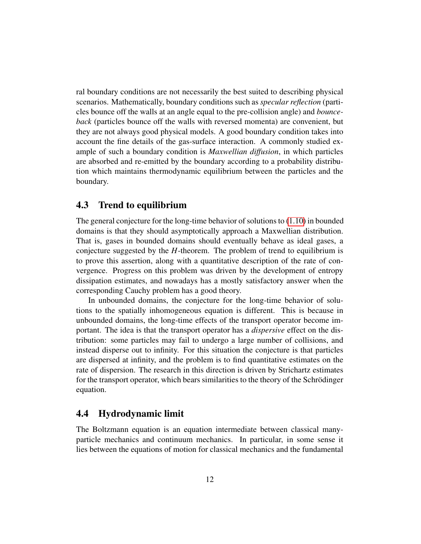ral boundary conditions are not necessarily the best suited to describing physical scenarios. Mathematically, boundary conditions such as *specular reflection* (particles bounce off the walls at an angle equal to the pre-collision angle) and *bounceback* (particles bounce off the walls with reversed momenta) are convenient, but they are not always good physical models. A good boundary condition takes into account the fine details of the gas-surface interaction. A commonly studied example of such a boundary condition is *Maxwellian diffusion*, in which particles are absorbed and re-emitted by the boundary according to a probability distribution which maintains thermodynamic equilibrium between the particles and the boundary.

### 4.3 Trend to equilibrium

The general conjecture for the long-time behavior of solutions to  $(1.10)$  in bounded domains is that they should asymptotically approach a Maxwellian distribution. That is, gases in bounded domains should eventually behave as ideal gases, a conjecture suggested by the *H*-theorem. The problem of trend to equilibrium is to prove this assertion, along with a quantitative description of the rate of convergence. Progress on this problem was driven by the development of entropy dissipation estimates, and nowadays has a mostly satisfactory answer when the corresponding Cauchy problem has a good theory.

In unbounded domains, the conjecture for the long-time behavior of solutions to the spatially inhomogeneous equation is different. This is because in unbounded domains, the long-time effects of the transport operator become important. The idea is that the transport operator has a *dispersive* effect on the distribution: some particles may fail to undergo a large number of collisions, and instead disperse out to infinity. For this situation the conjecture is that particles are dispersed at infinity, and the problem is to find quantitative estimates on the rate of dispersion. The research in this direction is driven by Strichartz estimates for the transport operator, which bears similarities to the theory of the Schrödinger equation.

### 4.4 Hydrodynamic limit

The Boltzmann equation is an equation intermediate between classical manyparticle mechanics and continuum mechanics. In particular, in some sense it lies between the equations of motion for classical mechanics and the fundamental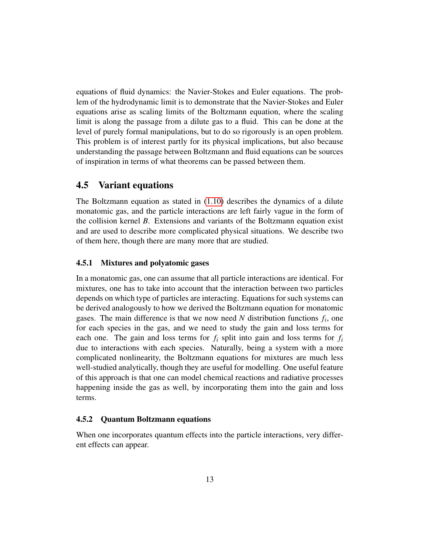equations of fluid dynamics: the Navier-Stokes and Euler equations. The problem of the hydrodynamic limit is to demonstrate that the Navier-Stokes and Euler equations arise as scaling limits of the Boltzmann equation, where the scaling limit is along the passage from a dilute gas to a fluid. This can be done at the level of purely formal manipulations, but to do so rigorously is an open problem. This problem is of interest partly for its physical implications, but also because understanding the passage between Boltzmann and fluid equations can be sources of inspiration in terms of what theorems can be passed between them.

### 4.5 Variant equations

The Boltzmann equation as stated in [\(1.10\)](#page-6-0) describes the dynamics of a dilute monatomic gas, and the particle interactions are left fairly vague in the form of the collision kernel *B*. Extensions and variants of the Boltzmann equation exist and are used to describe more complicated physical situations. We describe two of them here, though there are many more that are studied.

#### 4.5.1 Mixtures and polyatomic gases

In a monatomic gas, one can assume that all particle interactions are identical. For mixtures, one has to take into account that the interaction between two particles depends on which type of particles are interacting. Equations for such systems can be derived analogously to how we derived the Boltzmann equation for monatomic gases. The main difference is that we now need  $N$  distribution functions  $f_i$ , one for each species in the gas, and we need to study the gain and loss terms for each one. The gain and loss terms for  $f_i$  split into gain and loss terms for  $f_i$ due to interactions with each species. Naturally, being a system with a more complicated nonlinearity, the Boltzmann equations for mixtures are much less well-studied analytically, though they are useful for modelling. One useful feature of this approach is that one can model chemical reactions and radiative processes happening inside the gas as well, by incorporating them into the gain and loss terms.

#### 4.5.2 Quantum Boltzmann equations

When one incorporates quantum effects into the particle interactions, very different effects can appear.